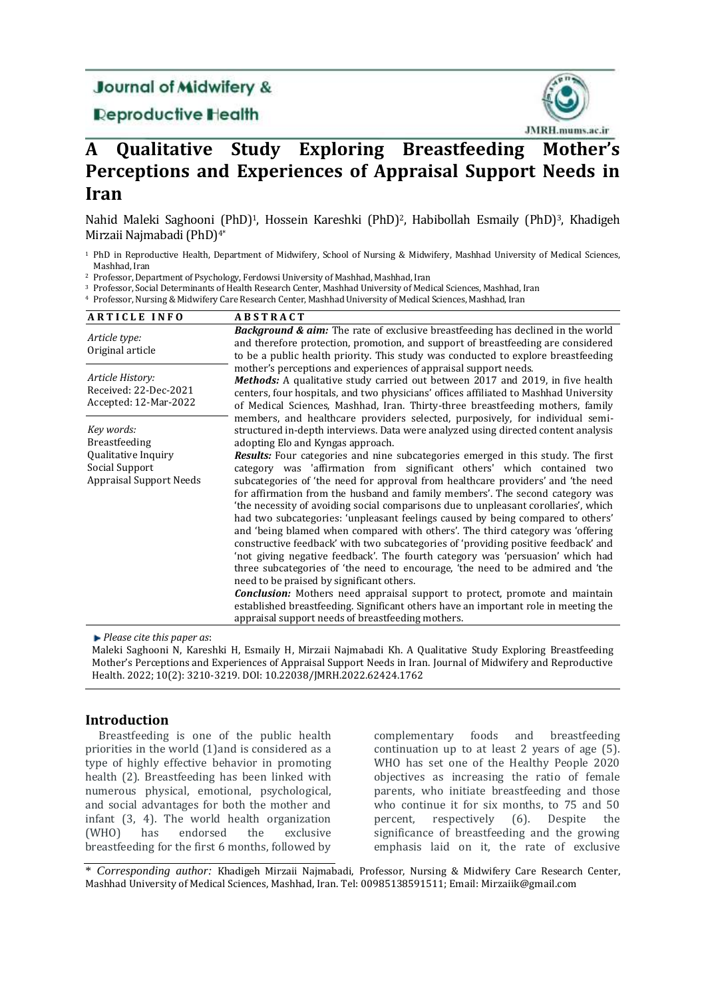# **Journal of Midwifery &**

# **Deproductive Health**



# **A Qualitative Study Exploring Breastfeeding Mother's Perceptions and Experiences of Appraisal Support Needs in Iran**

Nahid Maleki Saghooni (PhD)1, Hossein Kareshki (PhD)2, Habibollah Esmaily (PhD)3, Khadigeh Mirzaii Najmabadi (PhD)4\*

<sup>1</sup> PhD in Reproductive Health, Department of Midwifery, School of Nursing & Midwifery, Mashhad University of Medical Sciences, Mashhad, Iran

<sup>2</sup> Professor, Department of Psychology, Ferdowsi University of Mashhad, Mashhad, Iran

- <sup>3</sup> Professor, Social Determinants of Health Research Center, Mashhad University of Medical Sciences, Mashhad, Iran
- <sup>4</sup> Professor, Nursing & Midwifery Care Research Center, Mashhad University of Medical Sciences, Mashhad, Iran

| <b>ARTICLE INFO</b>                                                                                           | <b>ABSTRACT</b>                                                                                                                                                                                                                                                                                                                                                                                                                                                                                                                                                                                                                                                                                                                                                                                                                                                                                                                                                                                                                                                                                                                                                                                                                                                                              |  |
|---------------------------------------------------------------------------------------------------------------|----------------------------------------------------------------------------------------------------------------------------------------------------------------------------------------------------------------------------------------------------------------------------------------------------------------------------------------------------------------------------------------------------------------------------------------------------------------------------------------------------------------------------------------------------------------------------------------------------------------------------------------------------------------------------------------------------------------------------------------------------------------------------------------------------------------------------------------------------------------------------------------------------------------------------------------------------------------------------------------------------------------------------------------------------------------------------------------------------------------------------------------------------------------------------------------------------------------------------------------------------------------------------------------------|--|
| Article type:<br>Original article                                                                             | <b>Background &amp; aim:</b> The rate of exclusive breastfeeding has declined in the world<br>and therefore protection, promotion, and support of breastfeeding are considered<br>to be a public health priority. This study was conducted to explore breastfeeding                                                                                                                                                                                                                                                                                                                                                                                                                                                                                                                                                                                                                                                                                                                                                                                                                                                                                                                                                                                                                          |  |
| Article History:<br>Received: 22-Dec-2021<br>Accepted: 12-Mar-2022                                            | mother's perceptions and experiences of appraisal support needs.<br><b>Methods:</b> A qualitative study carried out between 2017 and 2019, in five health<br>centers, four hospitals, and two physicians' offices affiliated to Mashhad University<br>of Medical Sciences, Mashhad, Iran. Thirty-three breastfeeding mothers, family                                                                                                                                                                                                                                                                                                                                                                                                                                                                                                                                                                                                                                                                                                                                                                                                                                                                                                                                                         |  |
| Key words:<br><b>Breastfeeding</b><br>Qualitative Inquiry<br>Social Support<br><b>Appraisal Support Needs</b> | members, and healthcare providers selected, purposively, for individual semi-<br>structured in-depth interviews. Data were analyzed using directed content analysis<br>adopting Elo and Kyngas approach.<br>Results: Four categories and nine subcategories emerged in this study. The first<br>category was 'affirmation from significant others' which contained two<br>subcategories of 'the need for approval from healthcare providers' and 'the need<br>for affirmation from the husband and family members'. The second category was<br>'the necessity of avoiding social comparisons due to unpleasant corollaries', which<br>had two subcategories: 'unpleasant feelings caused by being compared to others'<br>and 'being blamed when compared with others'. The third category was 'offering<br>constructive feedback' with two subcategories of 'providing positive feedback' and<br>'not giving negative feedback'. The fourth category was 'persuasion' which had<br>three subcategories of 'the need to encourage, 'the need to be admired and 'the<br>need to be praised by significant others.<br><b>Conclusion:</b> Mothers need appraisal support to protect, promote and maintain<br>established breastfeeding. Significant others have an important role in meeting the |  |
|                                                                                                               | appraisal support needs of breastfeeding mothers.                                                                                                                                                                                                                                                                                                                                                                                                                                                                                                                                                                                                                                                                                                                                                                                                                                                                                                                                                                                                                                                                                                                                                                                                                                            |  |

*Please cite this paper as*:

Maleki Saghooni N, Kareshki H, Esmaily H, Mirzaii Najmabadi Kh. A Qualitative Study Exploring Breastfeeding Mother's Perceptions and Experiences of Appraisal Support Needs in Iran. Journal of Midwifery and Reproductive Health. 2022; 10(2): 3210-3219. DOI: 10.22038/JMRH.2022.62424.1762

# **Introduction**

Breastfeeding is one of the public health priorities in the world (1)and is considered as a type of highly effective behavior in promoting health (2). Breastfeeding has been linked with numerous physical, emotional, psychological, and social advantages for both the mother and infant (3, 4). The world health organization (WHO) has endorsed the exclusive breastfeeding for the first 6 months, followed by

complementary foods and breastfeeding continuation up to at least 2 years of age [\(5\)](#page-8-0). WHO has set one of the Healthy People 2020 objectives as increasing the ratio of female parents, who initiate breastfeeding and those who continue it for six months, to 75 and 50 percent, respectively [\(6\)](#page-8-1). Despite the significance of breastfeeding and the growing emphasis laid on it, the rate of exclusive

\* *Corresponding author:* Khadigeh Mirzaii Najmabadi, Professor, Nursing & Midwifery Care Research Center, Mashhad University of Medical Sciences, Mashhad, Iran. Tel: 00985138591511; Email: [Mirzaiik@gmail.com](mailto:Mirzaiik@gmail.com)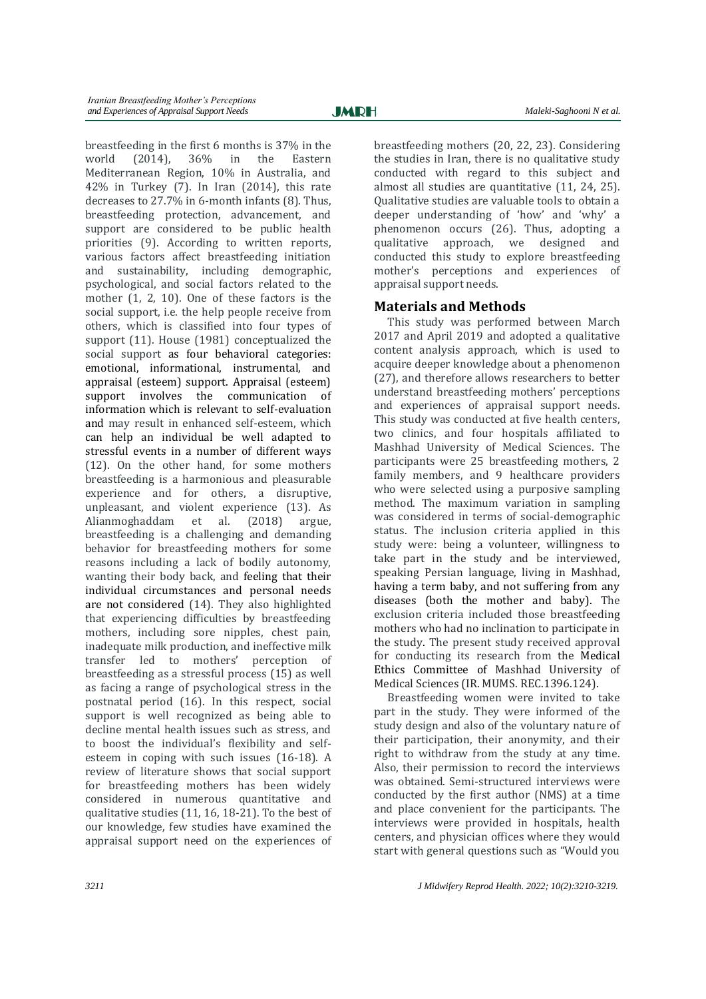breastfeeding in the first 6 months is 37% in the world (2014), 36% in the Eastern Mediterranean Region, 10% in Australia, and 42% in Turkey (7). In Iran (2014), this rate decreases to 27.7% in 6-month infants [\(8\)](#page-8-2). Thus, breastfeeding protection, advancement, and support are considered to be public health priorities [\(9\)](#page-8-3). According to written reports, various factors affect breastfeeding initiation and sustainability, including demographic, psychological, and social factors related to the mother (1, 2, [10\)](#page-8-4). One of these factors is the social support, i.e. the help people receive from others, which is classified into four types of support [\(11\)](#page-8-5). House (1981) conceptualized the social support as four behavioral categories: emotional, informational, instrumental, and appraisal (esteem) support. Appraisal (esteem) support involves the communication of information which is relevant to self-evaluation and may result in enhanced self-esteem, which can help an individual be well adapted to stressful events in a number of different ways (12). On the other hand, for some mothers breastfeeding is a harmonious and pleasurable experience and for others, a disruptive, unpleasant, and violent experience [\(13\)](#page-8-6). As Alianmoghaddam et al. (2018) argue, breastfeeding is a challenging and demanding behavior for breastfeeding mothers for some reasons including a lack of bodily autonomy, wanting their body back, and feeling that their individual circumstances and personal needs are not considered [\(14\)](#page-8-7). They also highlighted that experiencing difficulties by breastfeeding mothers, including sore nipples, chest pain, inadequate milk production, and ineffective milk transfer led to mothers' perception of breastfeeding as a stressful process [\(15\)](#page-8-8) as well as facing a range of psychological stress in the postnatal period [\(16\)](#page-8-9). In this respect, social support is well recognized as being able to decline mental health issues such as stress, and to boost the individual's flexibility and selfesteem in coping with such issues [\(16-18\)](#page-8-9). A review of literature shows that social support for breastfeeding mothers has been widely considered in numerous quantitative and qualitative studies [\(11,](#page-8-5) [16,](#page-8-9) [18-21\)](#page-8-10). To the best of our knowledge, few studies have examined the appraisal support need on the experiences of breastfeeding mothers [\(20,](#page-8-11) [22,](#page-8-12) [23\)](#page-8-13). Considering the studies in Iran, there is no qualitative study conducted with regard to this subject and almost all studies are quantitative [\(11,](#page-8-5) [24,](#page-9-0) [25\)](#page-9-1). Qualitative studies are valuable tools to obtain a deeper understanding of 'how' and 'why' a phenomenon occurs (26). Thus, adopting a qualitative approach, we designed and conducted this study to explore breastfeeding mother's perceptions and experiences of appraisal support needs.

# **Materials and Methods**

This study was performed between March 2017 and April 2019 and adopted a qualitative content analysis approach, which is used to acquire deeper knowledge about a phenomenon (27), and therefore allows researchers to better understand breastfeeding mothers' perceptions and experiences of appraisal support needs. This study was conducted at five health centers, two clinics, and four hospitals affiliated to Mashhad University of Medical Sciences. The participants were 25 breastfeeding mothers, 2 family members, and 9 healthcare providers who were selected using a purposive sampling method. The maximum variation in sampling was considered in terms of social-demographic status. The inclusion criteria applied in this study were: being a volunteer, willingness to take part in the study and be interviewed, speaking Persian language, living in Mashhad, having a term baby, and not suffering from any diseases (both the mother and baby). The exclusion criteria included those breastfeeding mothers who had no inclination to participate in the study. The present study received approval for conducting its research from the Medical Ethics Committee of Mashhad University of Medical Sciences (IR. MUMS. REC.1396.124).

Breastfeeding women were invited to take part in the study. They were informed of the study design and also of the voluntary nature of their participation, their anonymity, and their right to withdraw from the study at any time. Also, their permission to record the interviews was obtained. Semi-structured interviews were conducted by the first author (NMS) at a time and place convenient for the participants. The interviews were provided in hospitals, health centers, and physician offices where they would start with general questions such as "Would you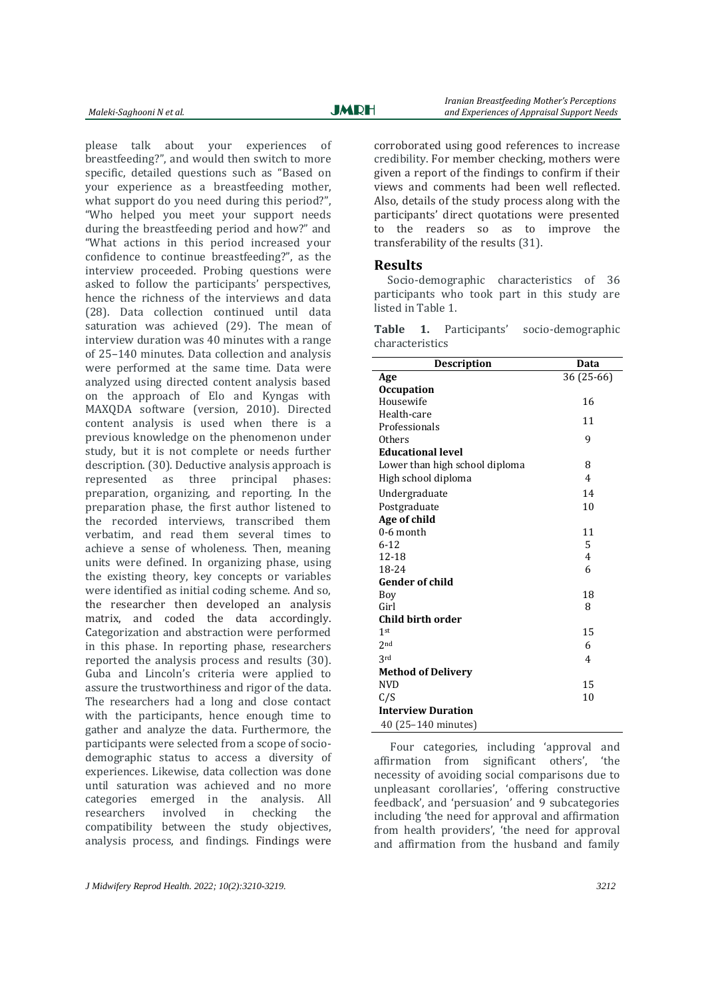please talk about your experiences of breastfeeding?", and would then switch to more specific, detailed questions such as "Based on your experience as a breastfeeding mother, what support do you need during this period?", "Who helped you meet your support needs during the breastfeeding period and how?" and "What actions in this period increased your confidence to continue breastfeeding?", as the interview proceeded. Probing questions were asked to follow the participants' perspectives, hence the richness of the interviews and data (28). Data collection continued until data saturation was achieved [\(29\)](#page-9-2). The mean of interview duration was 40 minutes with a range of 25–140 minutes. Data collection and analysis were performed at the same time. Data were analyzed using directed content analysis based on the approach of Elo and Kyngas with MAXQDA software (version, 2010). Directed content analysis is used when there is a previous knowledge on the phenomenon under study, but it is not complete or needs further description. [\(30\)](#page-9-3). Deductive analysis approach is represented as three principal phases: preparation, organizing, and reporting. In the preparation phase, the first author listened to the recorded interviews, transcribed them verbatim, and read them several times to achieve a sense of wholeness. Then, meaning units were defined. In organizing phase, using the existing theory, key concepts or variables were identified as initial coding scheme. And so, the researcher then developed an analysis matrix, and coded the data accordingly. Categorization and abstraction were performed in this phase. In reporting phase, researchers reported the analysis process and results [\(30\)](#page-9-3). Guba and Lincoln's criteria were applied to assure the trustworthiness and rigor of the data. The researchers had a long and close contact with the participants, hence enough time to gather and analyze the data. Furthermore, the participants were selected from a scope of sociodemographic status to access a diversity of experiences. Likewise, data collection was done until saturation was achieved and no more categories emerged in the analysis. All researchers involved in checking the compatibility between the study objectives, analysis process, and findings. Findings were

corroborated using good references to increase credibility. For member checking, mothers were given a report of the findings to confirm if their views and comments had been well reflected. Also, details of the study process along with the participants' direct quotations were presented to the readers so as to improve the transferability of the results (31).

#### **Results**

Socio-demographic characteristics of 36 participants who took part in this study are listed in Table 1.

**Table 1.** Participants' socio-demographic characteristics

| <b>Description</b>             | Data           |  |
|--------------------------------|----------------|--|
| Age                            | 36 (25-66)     |  |
| <b>Occupation</b>              |                |  |
| Housewife                      | 16             |  |
| Health-care                    | 11             |  |
| Professionals                  |                |  |
| Others                         | 9              |  |
| <b>Educational level</b>       |                |  |
| Lower than high school diploma | 8              |  |
| High school diploma            | $\overline{4}$ |  |
| Undergraduate                  | 14             |  |
| Postgraduate                   | 10             |  |
| Age of child                   |                |  |
| 0-6 month                      | 11             |  |
| $6 - 12$                       | 5              |  |
| 12-18                          | 4              |  |
| 18-24                          | 6              |  |
| Gender of child                |                |  |
| Boy                            | 18             |  |
| Girl                           | 8              |  |
| Child birth order              |                |  |
| 1 <sub>st</sub>                | 15             |  |
| 2 <sub>nd</sub>                | 6              |  |
| 3rd                            | 4              |  |
| <b>Method of Delivery</b>      |                |  |
| <b>NVD</b>                     | 15             |  |
| C/S                            | 10             |  |
| <b>Interview Duration</b>      |                |  |
| 40 (25-140 minutes)            |                |  |

Four categories, including 'approval and affirmation from significant others', 'the necessity of avoiding social comparisons due to unpleasant corollaries', 'offering constructive feedback', and 'persuasion' and 9 subcategories including 'the need for approval and affirmation from health providers', 'the need for approval and affirmation from the husband and family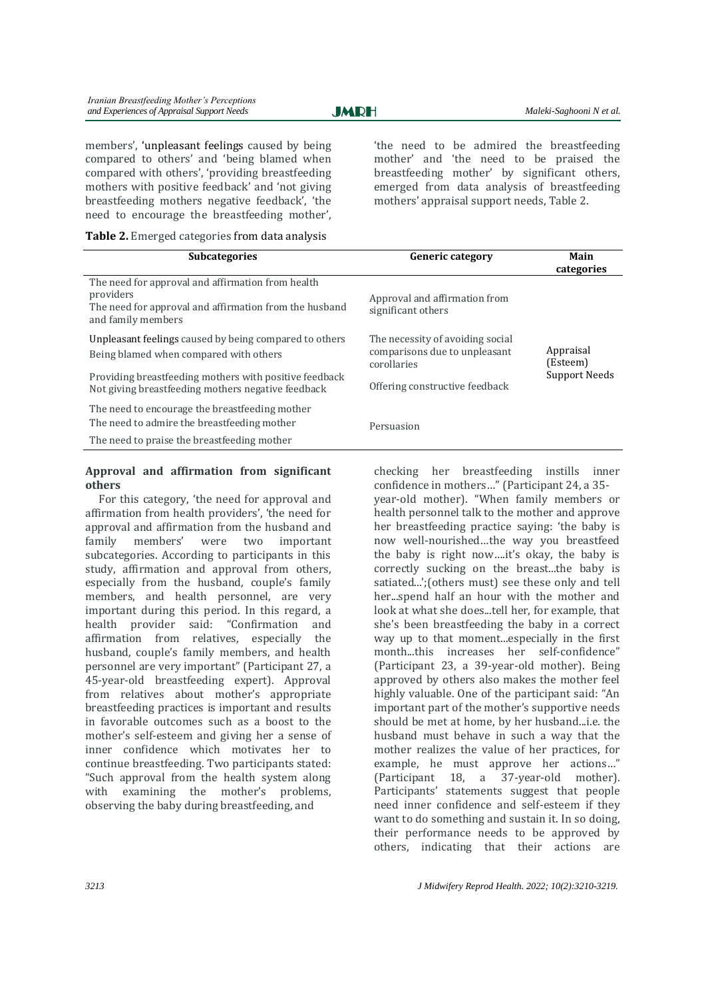**JMRH** 

members', 'unpleasant feelings caused by being compared to others' and 'being blamed when compared with others', 'providing breastfeeding mothers with positive feedback' and 'not giving breastfeeding mothers negative feedback', 'the need to encourage the breastfeeding mother',

**Table 2.** Emerged categories from data analysis

'the need to be admired the breastfeeding mother' and 'the need to be praised the breastfeeding mother' by significant others, emerged from data analysis of breastfeeding mothers' appraisal support needs, Table 2.

| <b>Subcategories</b>                                                                                                                           | <b>Generic category</b>                                                          | Main<br>categories                     |
|------------------------------------------------------------------------------------------------------------------------------------------------|----------------------------------------------------------------------------------|----------------------------------------|
| The need for approval and affirmation from health<br>providers<br>The need for approval and affirmation from the husband<br>and family members | Approval and affirmation from<br>significant others                              |                                        |
| Unpleasant feelings caused by being compared to others<br>Being blamed when compared with others                                               | The necessity of avoiding social<br>comparisons due to unpleasant<br>corollaries | Appraisal<br>(Esteem)<br>Support Needs |
| Providing breastfeeding mothers with positive feedback<br>Not giving breastfeeding mothers negative feedback                                   | Offering constructive feedback                                                   |                                        |
| The need to encourage the breastfeeding mother<br>The need to admire the breastfeeding mother                                                  | Persuasion                                                                       |                                        |
| The need to praise the breastfeeding mother                                                                                                    |                                                                                  |                                        |

#### **Approval and affirmation from significant others**

For this category, 'the need for approval and affirmation from health providers', 'the need for approval and affirmation from the husband and family members' were two important subcategories. According to participants in this study, affirmation and approval from others, especially from the husband, couple's family members, and health personnel, are very important during this period. In this regard, a health provider said: "Confirmation and affirmation from relatives, especially the husband, couple's family members, and health personnel are very important" (Participant 27, a 45-year-old breastfeeding expert). Approval from relatives about mother's appropriate breastfeeding practices is important and results in favorable outcomes such as a boost to the mother's self-esteem and giving her a sense of inner confidence which motivates her to continue breastfeeding. Two participants stated: "Such approval from the health system along with examining the mother's problems, observing the baby during breastfeeding, and

checking her breastfeeding instills inner confidence in mothers…" (Participant 24, a 35 year-old mother). "When family members or health personnel talk to the mother and approve her breastfeeding practice saying: 'the baby is now well-nourished…the way you breastfeed the baby is right now….it's okay, the baby is correctly sucking on the breast...the baby is satiated...';(others must) see these only and tell her...spend half an hour with the mother and look at what she does...tell her, for example, that she's been breastfeeding the baby in a correct way up to that moment...especially in the first month...this increases her self-confidence" (Participant 23, a 39-year-old mother). Being approved by others also makes the mother feel highly valuable. One of the participant said: "An important part of the mother's supportive needs should be met at home, by her husband...i.e. the husband must behave in such a way that the mother realizes the value of her practices, for example, he must approve her actions…" (Participant 18, a 37-year-old mother). Participants' statements suggest that people need inner confidence and self-esteem if they want to do something and sustain it. In so doing, their performance needs to be approved by others, indicating that their actions are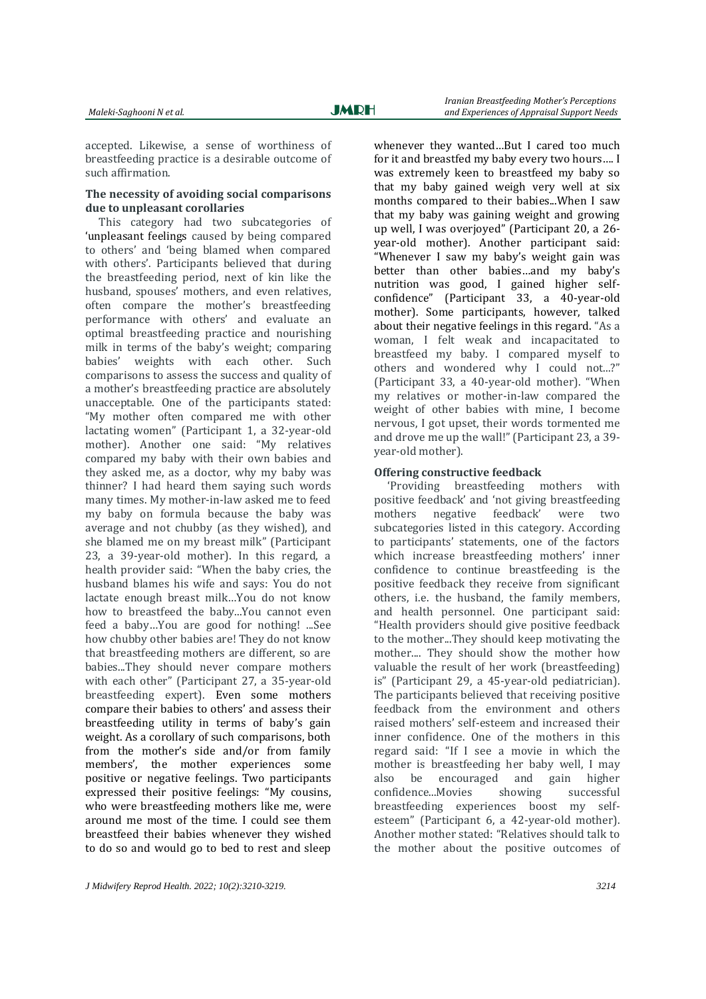accepted. Likewise, a sense of worthiness of breastfeeding practice is a desirable outcome of such affirmation.

### **The necessity of avoiding social comparisons due to unpleasant corollaries**

This category had two subcategories of 'unpleasant feelings caused by being compared to others' and 'being blamed when compared with others'. Participants believed that during the breastfeeding period, next of kin like the husband, spouses' mothers, and even relatives, often compare the mother's breastfeeding performance with others' and evaluate an optimal breastfeeding practice and nourishing milk in terms of the baby's weight; comparing babies' weights with each other. Such comparisons to assess the success and quality of a mother's breastfeeding practice are absolutely unacceptable. One of the participants stated: "My mother often compared me with other lactating women" (Participant 1, a 32-year-old mother). Another one said: "My relatives compared my baby with their own babies and they asked me, as a doctor, why my baby was thinner? I had heard them saying such words many times. My mother-in-law asked me to feed my baby on formula because the baby was average and not chubby (as they wished), and she blamed me on my breast milk" (Participant 23, a 39-year-old mother). In this regard, a health provider said: "When the baby cries, the husband blames his wife and says: You do not lactate enough breast milk…You do not know how to breastfeed the baby...You cannot even feed a baby…You are good for nothing! ...See how chubby other babies are! They do not know that breastfeeding mothers are different, so are babies...They should never compare mothers with each other" (Participant 27, a 35-year-old breastfeeding expert). Even some mothers compare their babies to others' and assess their breastfeeding utility in terms of baby's gain weight. As a corollary of such comparisons, both from the mother's side and/or from family members', the mother experiences some positive or negative feelings. Two participants expressed their positive feelings: "My cousins, who were breastfeeding mothers like me, were around me most of the time. I could see them breastfeed their babies whenever they wished to do so and would go to bed to rest and sleep

whenever they wanted…But I cared too much for it and breastfed my baby every two hours…. I was extremely keen to breastfeed my baby so that my baby gained weigh very well at six months compared to their babies...When I saw that my baby was gaining weight and growing up well, I was overjoyed" (Participant 20, a 26 year-old mother). Another participant said: "Whenever I saw my baby's weight gain was better than other babies…and my baby's nutrition was good, I gained higher selfconfidence" (Participant 33, a 40-year-old mother). Some participants, however, talked about their negative feelings in this regard. "As a woman, I felt weak and incapacitated to breastfeed my baby. I compared myself to others and wondered why I could not...?" (Participant 33, a 40-year-old mother). "When my relatives or mother-in-law compared the weight of other babies with mine, I become nervous, I got upset, their words tormented me and drove me up the wall!" (Participant 23, a 39 year-old mother).

#### **Offering constructive feedback**

'Providing breastfeeding mothers with positive feedback' and 'not giving breastfeeding mothers negative feedback' were two subcategories listed in this category. According to participants' statements, one of the factors which increase breastfeeding mothers' inner confidence to continue breastfeeding is the positive feedback they receive from significant others, i.e. the husband, the family members, and health personnel. One participant said: "Health providers should give positive feedback to the mother...They should keep motivating the mother.... They should show the mother how valuable the result of her work (breastfeeding) is" (Participant 29, a 45-year-old pediatrician). The participants believed that receiving positive feedback from the environment and others raised mothers' self-esteem and increased their inner confidence. One of the mothers in this regard said: "If I see a movie in which the mother is breastfeeding her baby well, I may also be encouraged and gain higher confidence...Movies showing successful breastfeeding experiences boost my selfesteem" (Participant 6, a 42-year-old mother). Another mother stated: "Relatives should talk to the mother about the positive outcomes of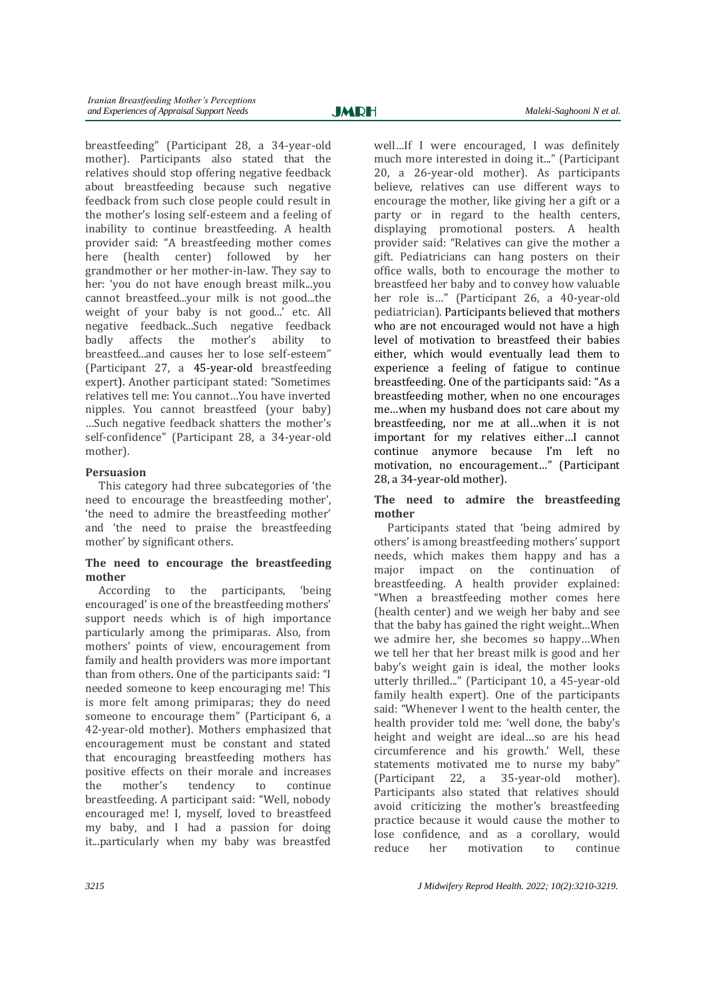breastfeeding" (Participant 28, a 34-year-old mother). Participants also stated that the relatives should stop offering negative feedback about breastfeeding because such negative feedback from such close people could result in the mother's losing self-esteem and a feeling of inability to continue breastfeeding. A health provider said: "A breastfeeding mother comes here (health center) followed by her grandmother or her mother-in-law. They say to her: 'you do not have enough breast milk...you cannot breastfeed...your milk is not good...the weight of your baby is not good...' etc. All negative feedback...Such negative feedback badly affects the mother's ability to breastfeed...and causes her to lose self-esteem" (Participant 27, a 45-year-old breastfeeding expert). Another participant stated: "Sometimes relatives tell me: You cannot…You have inverted nipples. You cannot breastfeed (your baby) …Such negative feedback shatters the mother's self-confidence" (Participant 28, a 34-year-old mother).

# **Persuasion**

This category had three subcategories of 'the need to encourage the breastfeeding mother', 'the need to admire the breastfeeding mother' and 'the need to praise the breastfeeding mother' by significant others.

# **The need to encourage the breastfeeding mother**

According to the participants, 'being encouraged' is one of the breastfeeding mothers' support needs which is of high importance particularly among the primiparas. Also, from mothers' points of view, encouragement from family and health providers was more important than from others. One of the participants said: "I needed someone to keep encouraging me! This is more felt among primiparas; they do need someone to encourage them" (Participant 6, a 42-year-old mother). Mothers emphasized that encouragement must be constant and stated that encouraging breastfeeding mothers has positive effects on their morale and increases the mother's tendency to continue breastfeeding. A participant said: "Well, nobody encouraged me! I, myself, loved to breastfeed my baby, and I had a passion for doing it...particularly when my baby was breastfed

well…If I were encouraged, I was definitely much more interested in doing it..." (Participant 20, a 26-year-old mother). As participants believe, relatives can use different ways to encourage the mother, like giving her a gift or a party or in regard to the health centers, displaying promotional posters. A health provider said: "Relatives can give the mother a gift. Pediatricians can hang posters on their office walls, both to encourage the mother to breastfeed her baby and to convey how valuable her role is…" (Participant 26, a 40-year-old pediatrician). Participants believed that mothers who are not encouraged would not have a high level of motivation to breastfeed their babies either, which would eventually lead them to experience a feeling of fatigue to continue breastfeeding. One of the participants said: "As a breastfeeding mother, when no one encourages me…when my husband does not care about my breastfeeding, nor me at all…when it is not important for my relatives either…I cannot continue anymore because I'm left no motivation, no encouragement…" (Participant 28, a 34-year-old mother).

## **The need to admire the breastfeeding mother**

Participants stated that 'being admired by others' is among breastfeeding mothers' support needs, which makes them happy and has a major impact on the continuation of breastfeeding. A health provider explained: "When a breastfeeding mother comes here (health center) and we weigh her baby and see that the baby has gained the right weight...When we admire her, she becomes so happy…When we tell her that her breast milk is good and her baby's weight gain is ideal, the mother looks utterly thrilled..." (Participant 10, a 45-year-old family health expert). One of the participants said: "Whenever I went to the health center, the health provider told me: 'well done, the baby's height and weight are ideal…so are his head circumference and his growth.' Well, these statements motivated me to nurse my baby" (Participant 22, a 35-year-old mother). Participants also stated that relatives should avoid criticizing the mother's breastfeeding practice because it would cause the mother to lose confidence, and as a corollary, would reduce her motivation to continue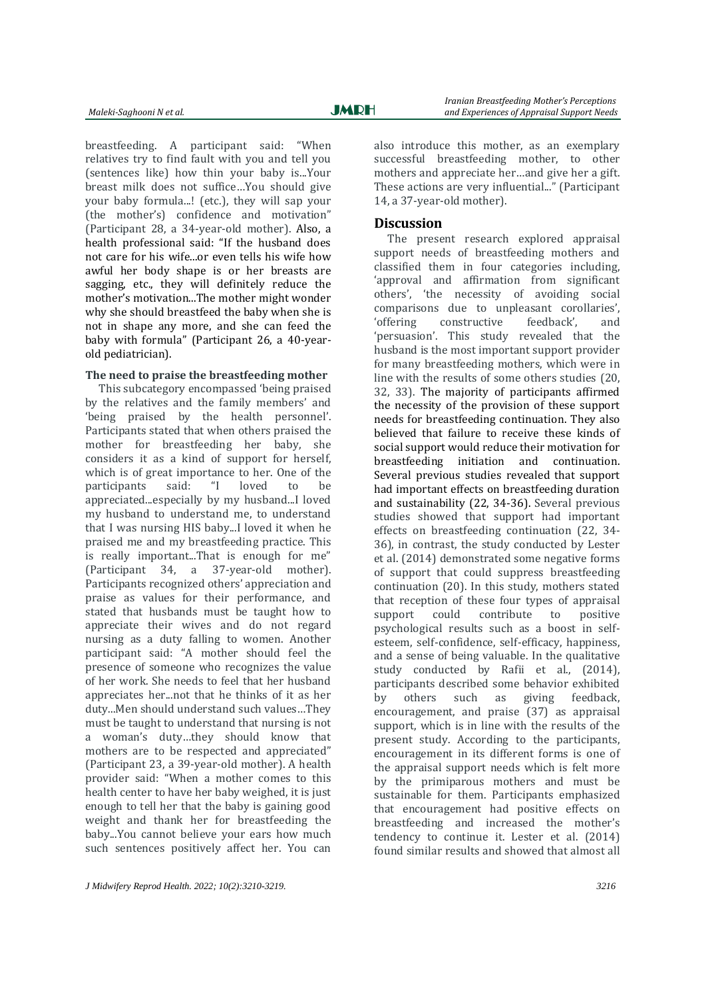breastfeeding. A participant said: "When relatives try to find fault with you and tell you (sentences like) how thin your baby is...Your breast milk does not suffice…You should give your baby formula...! (etc.), they will sap your (the mother's) confidence and motivation" (Participant 28, a 34-year-old mother). Also, a health professional said: "If the husband does not care for his wife...or even tells his wife how awful her body shape is or her breasts are sagging, etc., they will definitely reduce the mother's motivation...The mother might wonder why she should breastfeed the baby when she is not in shape any more, and she can feed the baby with formula" (Participant 26, a 40-yearold pediatrician).

#### **The need to praise the breastfeeding mother**

This subcategory encompassed 'being praised by the relatives and the family members' and 'being praised by the health personnel'. Participants stated that when others praised the mother for breastfeeding her baby, she considers it as a kind of support for herself, which is of great importance to her. One of the participants said: "I loved to be appreciated...especially by my husband...I loved my husband to understand me, to understand that I was nursing HIS baby...I loved it when he praised me and my breastfeeding practice. This is really important...That is enough for me" (Participant 34, a 37-year-old mother). Participants recognized others' appreciation and praise as values for their performance, and stated that husbands must be taught how to appreciate their wives and do not regard nursing as a duty falling to women. Another participant said: "A mother should feel the presence of someone who recognizes the value of her work. She needs to feel that her husband appreciates her...not that he thinks of it as her duty...Men should understand such values…They must be taught to understand that nursing is not a woman's duty…they should know that mothers are to be respected and appreciated" (Participant 23, a 39-year-old mother). A health provider said: "When a mother comes to this health center to have her baby weighed, it is just enough to tell her that the baby is gaining good weight and thank her for breastfeeding the baby...You cannot believe your ears how much such sentences positively affect her. You can

also introduce this mother, as an exemplary successful breastfeeding mother, to other mothers and appreciate her…and give her a gift. These actions are very influential..." (Participant 14, a 37-year-old mother).

#### **Discussion**

The present research explored appraisal support needs of breastfeeding mothers and classified them in four categories including, 'approval and affirmation from significant others', 'the necessity of avoiding social comparisons due to unpleasant corollaries', 'offering constructive feedback', and 'persuasion'. This study revealed that the husband is the most important support provider for many breastfeeding mothers, which were in line with the results of some others studies [\(20,](#page-8-11)  [32,](#page-9-4) [33\)](#page-9-5). The majority of participants affirmed the necessity of the provision of these support needs for breastfeeding continuation. They also believed that failure to receive these kinds of social support would reduce their motivation for breastfeeding initiation and continuation. Several previous studies revealed that support had important effects on breastfeeding duration and sustainability [\(22,](#page-8-12) [34-36\)](#page-9-6). Several previous studies showed that support had important effects on breastfeeding continuation [\(22,](#page-8-12) [34-](#page-9-6) [36\)](#page-9-6), in contrast, the study conducted by Lester et al. (2014) demonstrated some negative forms of support that could suppress breastfeeding continuation [\(20\)](#page-8-11). In this study, mothers stated that reception of these four types of appraisal support could contribute to positive psychological results such as a boost in selfesteem, self-confidence, self-efficacy, happiness, and a sense of being valuable. In the qualitative study conducted by Rafii et al., (2014). participants described some behavior exhibited by others such as giving feedback, encouragement, and praise  $(37)$  as appraisal support, which is in line with the results of the present study. According to the participants, encouragement in its different forms is one of the appraisal support needs which is felt more by the primiparous mothers and must be sustainable for them. Participants emphasized that encouragement had positive effects on breastfeeding and increased the mother's tendency to continue it. Lester et al. (2014) found similar results and showed that almost all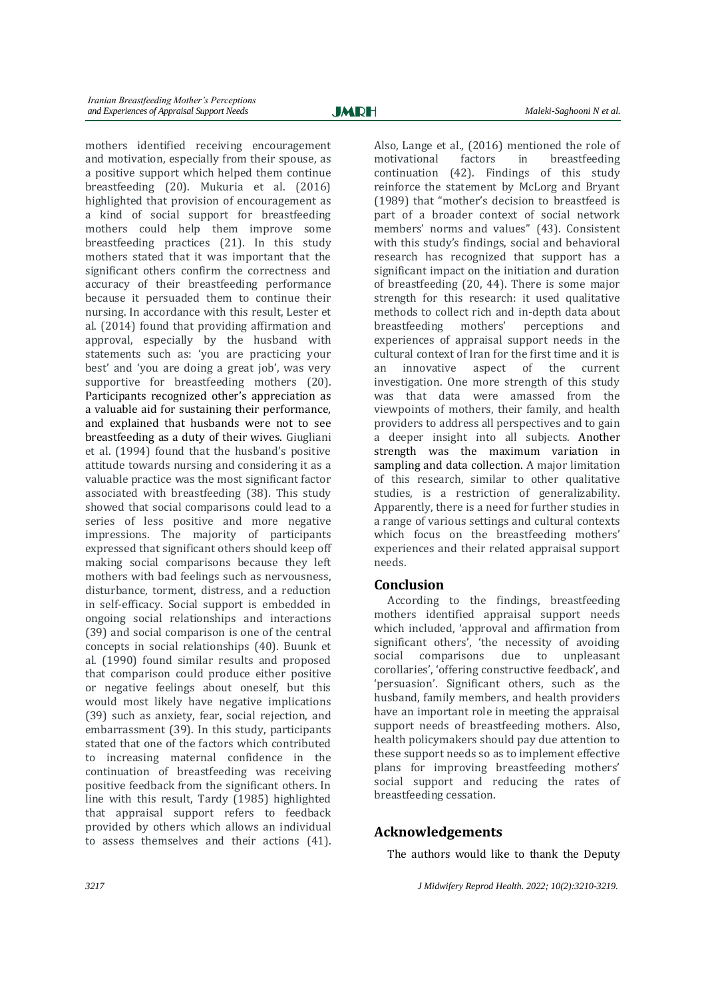mothers identified receiving encouragement and motivation, especially from their spouse, as a positive support which helped them continue breastfeeding [\(20\)](#page-8-11). Mukuria et al. (2016) highlighted that provision of encouragement as a kind of social support for breastfeeding mothers could help them improve some breastfeeding practices [\(21\)](#page-8-14). In this study mothers stated that it was important that the significant others confirm the correctness and accuracy of their breastfeeding performance because it persuaded them to continue their nursing. In accordance with this result, Lester et al. (2014) found that providing affirmation and approval, especially by the husband with statements such as: 'you are practicing your best' and 'you are doing a great job', was very supportive for breastfeeding mothers [\(20\)](#page-8-11). Participants recognized other's appreciation as a valuable aid for sustaining their performance, and explained that husbands were not to see breastfeeding as a duty of their wives. Giugliani et al. (1994) found that the husband's positive attitude towards nursing and considering it as a valuable practice was the most significant factor associated with breastfeeding [\(38\)](#page-9-8). This study showed that social comparisons could lead to a series of less positive and more negative impressions. The majority of participants expressed that significant others should keep off making social comparisons because they left mothers with bad feelings such as nervousness, disturbance, torment, distress, and a reduction in self-efficacy. Social support is embedded in ongoing social relationships and interactions [\(39\)](#page-9-9) and social comparison is one of the central concepts in social relationships [\(40\)](#page-9-10). Buunk et al. (1990) found similar results and proposed that comparison could produce either positive or negative feelings about oneself, but this would most likely have negative implications [\(39\)](#page-9-9) such as anxiety, fear, social rejection, and embarrassment [\(39\)](#page-9-9). In this study, participants stated that one of the factors which contributed to increasing maternal confidence in the continuation of breastfeeding was receiving positive feedback from the significant others. In line with this result, Tardy (1985) highlighted that appraisal support refers to feedback provided by others which allows an individual to assess themselves and their actions [\(41\)](#page-9-11).

Also, Lange et al., (2016) mentioned the role of motivational factors in breastfeeding continuation [\(42\)](#page-9-12). Findings of this study reinforce the statement by McLorg and Bryant (1989) that "mother's decision to breastfeed is part of a broader context of social network members' norms and values" [\(43\)](#page-9-13). Consistent with this study's findings, social and behavioral research has recognized that support has a significant impact on the initiation and duration of breastfeeding [\(20,](#page-8-11) [44\)](#page-9-14). There is some major strength for this research: it used qualitative methods to collect rich and in-depth data about breastfeeding mothers' perceptions and experiences of appraisal support needs in the cultural context of Iran for the first time and it is an innovative aspect of the current investigation. One more strength of this study was that data were amassed from the viewpoints of mothers, their family, and health providers to address all perspectives and to gain a deeper insight into all subjects. Another strength was the maximum variation in sampling and data collection. A major limitation of this research, similar to other qualitative studies, is a restriction of generalizability. Apparently, there is a need for further studies in a range of various settings and cultural contexts which focus on the breastfeeding mothers' experiences and their related appraisal support needs.

# **Conclusion**

According to the findings, breastfeeding mothers identified appraisal support needs which included, 'approval and affirmation from significant others', 'the necessity of avoiding social comparisons due to unpleasant corollaries', 'offering constructive feedback', and 'persuasion'. Significant others, such as the husband, family members, and health providers have an important role in meeting the appraisal support needs of breastfeeding mothers. Also, health policymakers should pay due attention to these support needs so as to implement effective plans for improving breastfeeding mothers' social support and reducing the rates of breastfeeding cessation.

# **Acknowledgements**

The authors would like to thank the Deputy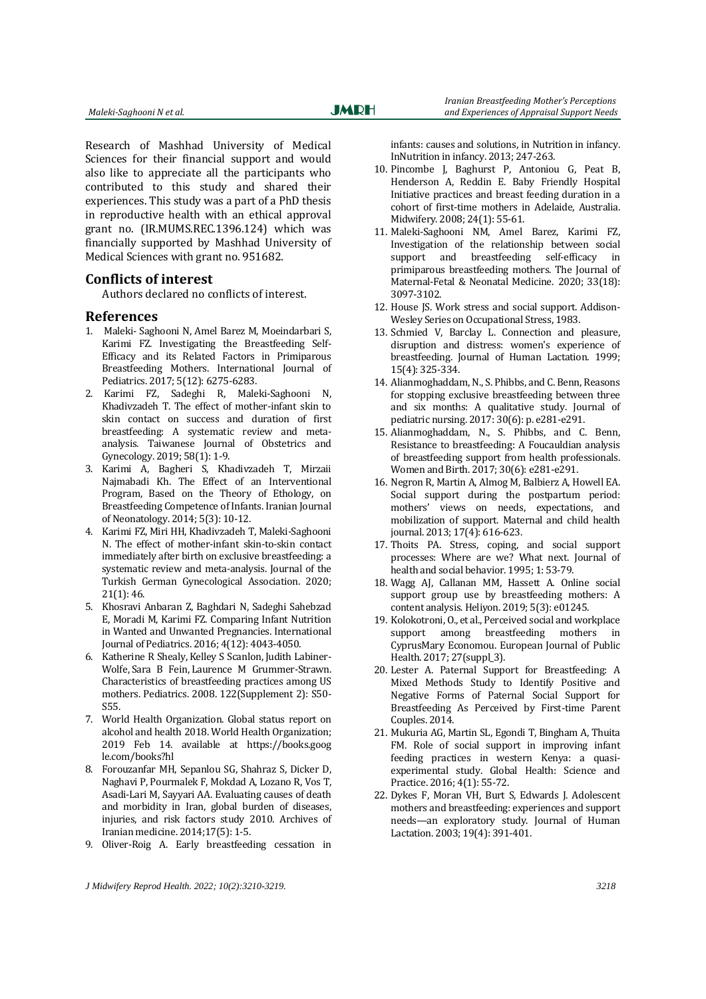Research of Mashhad University of Medical Sciences for their financial support and would also like to appreciate all the participants who contributed to this study and shared their experiences. This study was a part of a PhD thesis in reproductive health with an ethical approval grant no. (IR.MUMS.REC.1396.124) which was financially supported by Mashhad University of Medical Sciences with grant no. 951682.

### **Conflicts of interest**

Authors declared no conflicts of interest.

#### **References**

- 1. Maleki- Saghooni N, Amel Barez M, Moeindarbari S, Karimi FZ. Investigating the Breastfeeding Self-Efficacy and its Related Factors in Primiparous Breastfeeding Mothers. [International Journal of](https://ijp.mums.ac.ir/)  [Pediatrics. 2017; 5\(12\): 6275-6283.](https://ijp.mums.ac.ir/)
- 2. Karimi FZ, Sadeghi R, Maleki-Saghooni N, Khadivzadeh T. The effect of mother-infant skin to skin contact on success and duration of first breastfeeding: A systematic review and metaanalysis. Taiwanese Journal of Obstetrics and Gynecology. 2019; 58(1): 1-9.
- 3. Karimi A, Bagheri S, Khadivzadeh T, Mirzaii Najmabadi Kh. The Effect of an Interventional Program, Based on the Theory of Ethology, on Breastfeeding Competence of Infants. Iranian Journal of Neonatology. 2014; 5(3): 10-12.
- 4. Karimi FZ, Miri HH, Khadivzadeh T, Maleki-Saghooni N. The effect of mother-infant skin-to-skin contact immediately after birth on exclusive breastfeeding: a systematic review and meta-analysis. Journal of the Turkish German Gynecological Association. 2020; 21(1): 46.
- <span id="page-8-0"></span>5. Khosravi Anbaran Z, Baghdari N, Sadeghi Sahebzad E, Moradi M, Karimi FZ. Comparing Infant Nutrition in Wanted and Unwanted Pregnancies. International Journal of Pediatrics. 2016; 4(12): 4043-4050.
- <span id="page-8-1"></span>6. [Katherine R Shealy,](https://pubmed.ncbi.nlm.nih.gov/?term=Shealy+KR&cauthor_id=18829831) [Kelley S Scanlon,](https://pubmed.ncbi.nlm.nih.gov/?term=Scanlon+KS&cauthor_id=18829831) [Judith Labiner-](https://pubmed.ncbi.nlm.nih.gov/?term=Labiner-Wolfe+J&cauthor_id=18829831)[Wolfe,](https://pubmed.ncbi.nlm.nih.gov/?term=Labiner-Wolfe+J&cauthor_id=18829831) [Sara B Fein,](https://pubmed.ncbi.nlm.nih.gov/?term=Fein+SB&cauthor_id=18829831) [Laurence M Grummer-Strawn.](https://pubmed.ncbi.nlm.nih.gov/?term=Grummer-Strawn+LM&cauthor_id=18829831)  Characteristics of breastfeeding practices among US mothers. Pediatrics. 2008. 122(Supplement 2): S50- S55.
- 7. World Health Organization. Global status report on alcohol and health 2018. World Health Organization; 2019 Feb 14. available at https://books.goog le.com/books?hl
- <span id="page-8-2"></span>8. Forouzanfar MH, Sepanlou SG, Shahraz S, Dicker D, Naghavi P, Pourmalek F, Mokdad A, Lozano R, Vos T, Asadi-Lari M, Sayyari AA. Evaluating causes of death and morbidity in Iran, global burden of diseases, injuries, and risk factors study 2010. Archives of Iranian medicine. 2014;17(5): 1-5.
- <span id="page-8-3"></span>9. Oliver-Roig A. Early breastfeeding cessation in

infants: causes and solutions, in Nutrition in infancy. InNutrition in infancy. 2013; 247-263.

- <span id="page-8-4"></span>10. Pincombe J, Baghurst P, Antoniou G, Peat B, Henderson A, Reddin E. Baby Friendly Hospital Initiative practices and breast feeding duration in a cohort of first-time mothers in Adelaide, Australia. Midwifery. 2008; 24(1): 55-61.
- <span id="page-8-5"></span>11. Maleki-Saghooni NM, Amel Barez, Karimi FZ, Investigation of the relationship between social support and breastfeeding self-efficacy in primiparous breastfeeding mothers. The Journal of Maternal-Fetal & Neonatal Medicine. 2020; 33(18): 3097-3102.
- <span id="page-8-6"></span>12. House JS. Work stress and social support. Addison-Wesley Series on Occupational Stress, 1983.
- 13. Schmied V, Barclay L. Connection and pleasure, disruption and distress: women's experience of breastfeeding. Journal of Human Lactation. 1999; 15(4): 325-334.
- <span id="page-8-7"></span>14. Alianmoghaddam, N., S. Phibbs, and C. Benn, Reasons for stopping exclusive breastfeeding between three and six months: A qualitative study. Journal of pediatric nursing. 2017: 30(6): p. e281-e291.
- <span id="page-8-8"></span>15. Alianmoghaddam, N., S. Phibbs, and C. Benn, Resistance to breastfeeding: A Foucauldian analysis of breastfeeding support from health professionals. Women and Birth. 2017; 30(6): e281-e291.
- <span id="page-8-9"></span>16. Negron R, Martin A, Almog M, Balbierz A, Howell EA. Social support during the postpartum period: mothers' views on needs, expectations, and mobilization of support. Maternal and child health journal. 2013; 17(4): 616-623.
- 17. Thoits PA. Stress, coping, and social support processes: Where are we? What next. Journal of health and social behavior. 1995; 1: 53-79.
- <span id="page-8-10"></span>18. Wagg AJ, Callanan MM, Hassett A. Online social support group use by breastfeeding mothers: A content analysis. Heliyon. 2019; 5(3): e01245.
- 19. Kolokotroni, O., et al., Perceived social and workplace support among breastfeeding mothers in CyprusMary Economou. European Journal of Public Health. 2017; 27(suppl\_3).
- <span id="page-8-11"></span>20. Lester A. Paternal Support for Breastfeeding: A Mixed Methods Study to Identify Positive and Negative Forms of Paternal Social Support for Breastfeeding As Perceived by First-time Parent Couples. 2014.
- <span id="page-8-14"></span>21. Mukuria AG, Martin SL, Egondi T, Bingham A, Thuita FM. Role of social support in improving infant feeding practices in western Kenya: a quasiexperimental study. Global Health: Science and Practice. 2016; 4(1): 55-72.
- <span id="page-8-13"></span><span id="page-8-12"></span>22. Dykes F, Moran VH, Burt S, Edwards J. Adolescent mothers and breastfeeding: experiences and support needs—an exploratory study. Journal of Human Lactation. 2003; 19(4): 391-401.

*J Midwifery Reprod Health. 2022; 10(2):3210-3219. 3218*